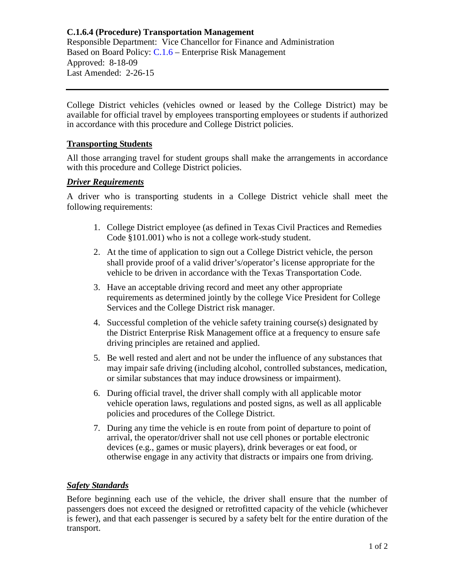# **C.1.6.4 (Procedure) Transportation Management**

Responsible Department: Vice Chancellor for Finance and Administration Based on Board Policy: C.1.6 – Enterprise Risk Management Approved: 8-18-09 Last Amended: 2-26-15

College District vehicles (vehicles owned or leased by the College District) may be available for official travel by employees transporting employees or students if authorized in accordance with this procedure and College District policies.

### **Transporting Students**

All those arranging travel for student groups shall make the arrangements in accordance with this procedure and College District policies.

#### *Driver Requirements*

A driver who is transporting students in a College District vehicle shall meet the following requirements:

- 1. College District employee (as defined in Texas Civil Practices and Remedies Code §101.001) who is not a college work-study student.
- 2. At the time of application to sign out a College District vehicle, the person shall provide proof of a valid driver's/operator's license appropriate for the vehicle to be driven in accordance with the Texas Transportation Code.
- 3. Have an acceptable driving record and meet any other appropriate requirements as determined jointly by the college Vice President for College Services and the College District risk manager.
- 4. Successful completion of the vehicle safety training course(s) designated by the District Enterprise Risk Management office at a frequency to ensure safe driving principles are retained and applied.
- 5. Be well rested and alert and not be under the influence of any substances that may impair safe driving (including alcohol, controlled substances, medication, or similar substances that may induce drowsiness or impairment).
- 6. During official travel, the driver shall comply with all applicable motor vehicle operation laws, regulations and posted signs, as well as all applicable policies and procedures of the College District.
- 7. During any time the vehicle is en route from point of departure to point of arrival, the operator/driver shall not use cell phones or portable electronic devices (e.g., games or music players), drink beverages or eat food, or otherwise engage in any activity that distracts or impairs one from driving.

### *Safety Standards*

Before beginning each use of the vehicle, the driver shall ensure that the number of passengers does not exceed the designed or retrofitted capacity of the vehicle (whichever is fewer), and that each passenger is secured by a safety belt for the entire duration of the transport.